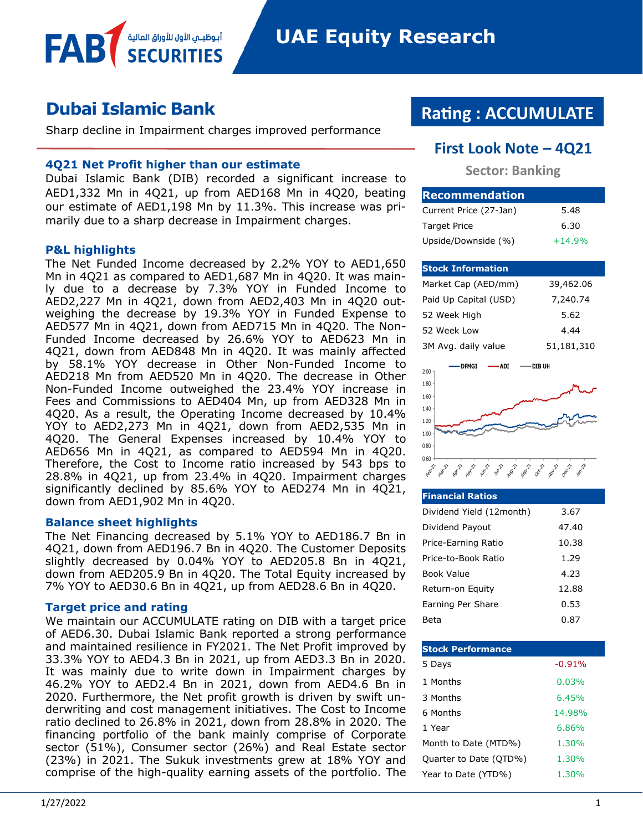# **Dubai Islamic Bank**

Sharp decline in Impairment charges improved performance

#### **4Q21 Net Profit higher than our estimate**

أبوظبــمي الأول للأوراق المالية

Dubai Islamic Bank (DIB) recorded a significant increase to AED1,332 Mn in 4Q21, up from AED168 Mn in 4Q20, beating our estimate of AED1,198 Mn by 11.3%. This increase was primarily due to a sharp decrease in Impairment charges.

#### **P&L highlights**

FAB

The Net Funded Income decreased by 2.2% YOY to AED1,650 Mn in 4Q21 as compared to AED1,687 Mn in 4Q20. It was mainly due to a decrease by 7.3% YOY in Funded Income to AED2,227 Mn in 4Q21, down from AED2,403 Mn in 4Q20 outweighing the decrease by 19.3% YOY in Funded Expense to AED577 Mn in 4Q21, down from AED715 Mn in 4Q20. The Non-Funded Income decreased by 26.6% YOY to AED623 Mn in 4Q21, down from AED848 Mn in 4Q20. It was mainly affected by 58.1% YOY decrease in Other Non-Funded Income to AED218 Mn from AED520 Mn in 4Q20. The decrease in Other Non-Funded Income outweighed the 23.4% YOY increase in Fees and Commissions to AED404 Mn, up from AED328 Mn in 4Q20. As a result, the Operating Income decreased by 10.4% YOY to AED2,273 Mn in 4Q21, down from AED2,535 Mn in 4Q20. The General Expenses increased by 10.4% YOY to AED656 Mn in 4Q21, as compared to AED594 Mn in 4Q20. Therefore, the Cost to Income ratio increased by 543 bps to 28.8% in 4Q21, up from 23.4% in 4Q20. Impairment charges significantly declined by 85.6% YOY to AED274 Mn in 4Q21, down from AED1,902 Mn in 4Q20.

#### **Balance sheet highlights**

The Net Financing decreased by 5.1% YOY to AED186.7 Bn in 4Q21, down from AED196.7 Bn in 4Q20. The Customer Deposits slightly decreased by 0.04% YOY to AED205.8 Bn in 4Q21, down from AED205.9 Bn in 4Q20. The Total Equity increased by 7% YOY to AED30.6 Bn in 4Q21, up from AED28.6 Bn in 4Q20.

#### **Target price and rating**

We maintain our ACCUMULATE rating on DIB with a target price of AED6.30. Dubai Islamic Bank reported a strong performance and maintained resilience in FY2021. The Net Profit improved by 33.3% YOY to AED4.3 Bn in 2021, up from AED3.3 Bn in 2020. It was mainly due to write down in Impairment charges by 46.2% YOY to AED2.4 Bn in 2021, down from AED4.6 Bn in 2020. Furthermore, the Net profit growth is driven by swift underwriting and cost management initiatives. The Cost to Income ratio declined to 26.8% in 2021, down from 28.8% in 2020. The financing portfolio of the bank mainly comprise of Corporate sector (51%), Consumer sector (26%) and Real Estate sector (23%) in 2021. The Sukuk investments grew at 18% YOY and comprise of the high-quality earning assets of the portfolio. The

## **Rating : ACCUMULATE**

#### **First Look Note – 4Q21**

**Sector: Banking**

| <b>Recommendation</b>  |          |
|------------------------|----------|
| Current Price (27-Jan) | 5.48     |
| <b>Target Price</b>    | 6.30     |
| Upside/Downside (%)    | $+14.9%$ |

#### **Stock Information**

| Market Cap (AED/mm)   | 39,462.06  |
|-----------------------|------------|
| Paid Up Capital (USD) | 7,240.74   |
| 52 Week High          | 5.62       |
| 52 Week Low           | 4.44       |
| 3M Avg. daily value   | 51,181,310 |



| <b>Financial Ratios</b>  |       |
|--------------------------|-------|
| Dividend Yield (12month) | 3.67  |
| Dividend Payout          | 47.40 |
| Price-Earning Ratio      | 10.38 |
| Price-to-Book Ratio      | 1.29  |
| Book Value               | 4.23  |
| Return-on Equity         | 12.88 |
| Earning Per Share        | 0.53  |
| Beta                     | 0.87  |

| <b>Stock Performance</b> |          |
|--------------------------|----------|
| 5 Days                   | $-0.91%$ |
| 1 Months                 | 0.03%    |
| 3 Months                 | 6.45%    |
| 6 Months                 | 14.98%   |
| 1 Year                   | 6.86%    |
| Month to Date (MTD%)     | 1.30%    |
| Quarter to Date (QTD%)   | 1.30%    |
| Year to Date (YTD%)      | 1.30%    |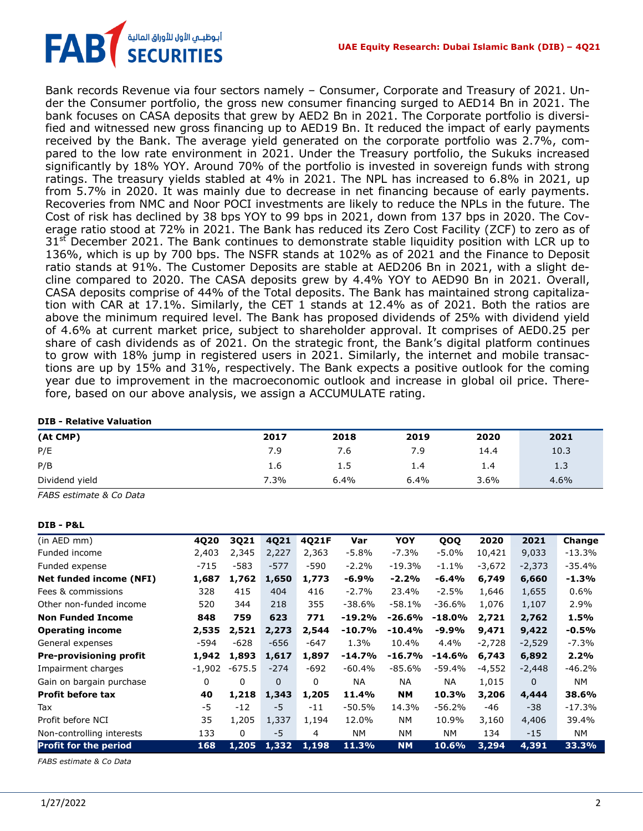

Bank records Revenue via four sectors namely – Consumer, Corporate and Treasury of 2021. Under the Consumer portfolio, the gross new consumer financing surged to AED14 Bn in 2021. The bank focuses on CASA deposits that grew by AED2 Bn in 2021. The Corporate portfolio is diversified and witnessed new gross financing up to AED19 Bn. It reduced the impact of early payments received by the Bank. The average yield generated on the corporate portfolio was 2.7%, compared to the low rate environment in 2021. Under the Treasury portfolio, the Sukuks increased significantly by 18% YOY. Around 70% of the portfolio is invested in sovereign funds with strong ratings. The treasury yields stabled at 4% in 2021. The NPL has increased to 6.8% in 2021, up from 5.7% in 2020. It was mainly due to decrease in net financing because of early payments. Recoveries from NMC and Noor POCI investments are likely to reduce the NPLs in the future. The Cost of risk has declined by 38 bps YOY to 99 bps in 2021, down from 137 bps in 2020. The Coverage ratio stood at 72% in 2021. The Bank has reduced its Zero Cost Facility (ZCF) to zero as of  $31<sup>st</sup>$  December 2021. The Bank continues to demonstrate stable liquidity position with LCR up to 136%, which is up by 700 bps. The NSFR stands at 102% as of 2021 and the Finance to Deposit ratio stands at 91%. The Customer Deposits are stable at AED206 Bn in 2021, with a slight decline compared to 2020. The CASA deposits grew by 4.4% YOY to AED90 Bn in 2021. Overall, CASA deposits comprise of 44% of the Total deposits. The Bank has maintained strong capitalization with CAR at 17.1%. Similarly, the CET 1 stands at 12.4% as of 2021. Both the ratios are above the minimum required level. The Bank has proposed dividends of 25% with dividend yield of 4.6% at current market price, subject to shareholder approval. It comprises of AED0.25 per share of cash dividends as of 2021. On the strategic front, the Bank's digital platform continues to grow with 18% jump in registered users in 2021. Similarly, the internet and mobile transactions are up by 15% and 31%, respectively. The Bank expects a positive outlook for the coming year due to improvement in the macroeconomic outlook and increase in global oil price. Therefore, based on our above analysis, we assign a ACCUMULATE rating.

#### **DIB - Relative Valuation**

| (At CMP)       | 2017 | 2018 | 2019 | 2020    | 2021 |
|----------------|------|------|------|---------|------|
| P/E            | 7.9  | 7.6  | 7.9  | 14.4    | 10.3 |
| P/B            | 1.6  | 1.5  | 1.4  | 1.4     | 1.3  |
| Dividend yield | 7.3% | 6.4% | 6.4% | $3.6\%$ | 4.6% |

*FABS estimate & Co Data*

#### **DIB - P&L**

| (in AED mm)                    | 4Q20     | 3Q21     | 4Q21     | 4Q21F  | Var       | <b>YOY</b> | QOQ       | 2020     | 2021     | Change    |
|--------------------------------|----------|----------|----------|--------|-----------|------------|-----------|----------|----------|-----------|
| Funded income                  | 2,403    | 2,345    | 2,227    | 2,363  | $-5.8%$   | $-7.3%$    | -5.0%     | 10,421   | 9,033    | $-13.3%$  |
| Funded expense                 | $-715$   | $-583$   | $-577$   | -590   | $-2.2%$   | $-19.3%$   | $-1.1\%$  | $-3,672$ | $-2,373$ | -35.4%    |
| <b>Net funded income (NFI)</b> | 1,687    | 1,762    | 1,650    | 1,773  | $-6.9%$   | $-2.2%$    | $-6.4%$   | 6,749    | 6,660    | $-1.3%$   |
| Fees & commissions             | 328      | 415      | 404      | 416    | $-2.7%$   | 23.4%      | $-2.5%$   | 1,646    | 1,655    | 0.6%      |
| Other non-funded income        | 520      | 344      | 218      | 355    | $-38.6%$  | $-58.1%$   | $-36.6%$  | 1,076    | 1,107    | 2.9%      |
| <b>Non Funded Income</b>       | 848      | 759      | 623      | 771    | $-19.2%$  | $-26.6%$   | $-18.0\%$ | 2,721    | 2,762    | 1.5%      |
| <b>Operating income</b>        | 2,535    | 2,521    | 2,273    | 2,544  | $-10.7%$  | $-10.4%$   | $-9.9%$   | 9,471    | 9,422    | $-0.5%$   |
| General expenses               | -594     | $-628$   | $-656$   | -647   | 1.3%      | 10.4%      | 4.4%      | $-2,728$ | $-2,529$ | $-7.3%$   |
| <b>Pre-provisioning profit</b> | 1,942    | 1,893    | 1,617    | 1,897  | $-14.7%$  | -16.7%     | $-14.6%$  | 6,743    | 6,892    | 2.2%      |
| Impairment charges             | $-1,902$ | $-675.5$ | $-274$   | $-692$ | $-60.4%$  | $-85.6%$   | $-59.4%$  | $-4,552$ | $-2,448$ | $-46.2%$  |
| Gain on bargain purchase       | 0        | $\Omega$ | $\Omega$ | 0      | <b>NA</b> | NA.        | ΝA        | 1,015    | $\Omega$ | <b>NM</b> |
| <b>Profit before tax</b>       | 40       | 1,218    | 1,343    | 1,205  | 11.4%     | <b>NM</b>  | 10.3%     | 3,206    | 4,444    | 38.6%     |
| Tax                            | -5       | $-12$    | $-5$     | $-11$  | $-50.5%$  | 14.3%      | $-56.2%$  | $-46$    | $-38$    | $-17.3%$  |
| Profit before NCI              | 35       | 1,205    | 1,337    | 1,194  | 12.0%     | NM.        | 10.9%     | 3,160    | 4,406    | 39.4%     |
| Non-controlling interests      | 133      | 0        | $-5$     | 4      | NM.       | <b>NM</b>  | NM.       | 134      | $-15$    | NΜ        |
| <b>Profit for the period</b>   | 168      | 1,205    | 1,332    | 1,198  | 11.3%     | <b>NM</b>  | 10.6%     | 3,294    | 4,391    | 33.3%     |

*FABS estimate & Co Data*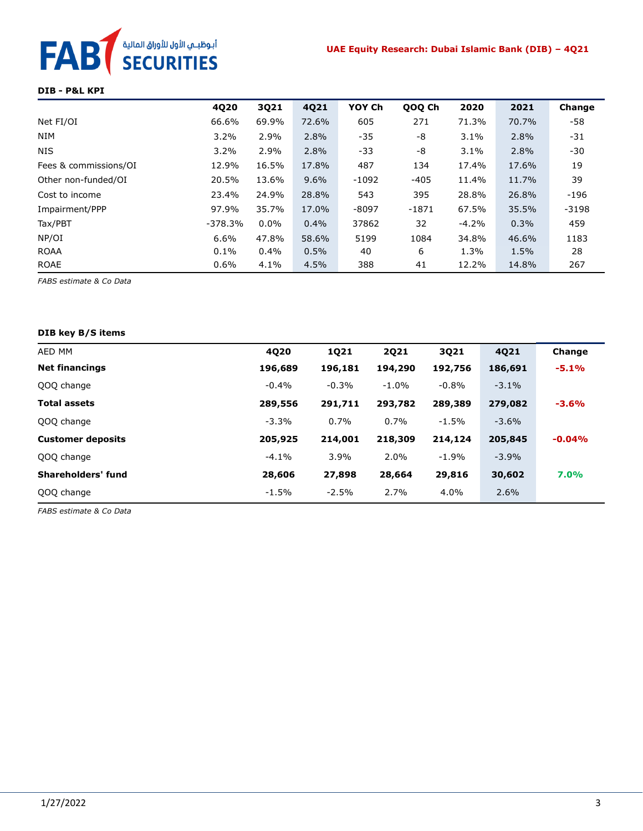#### **UAE Equity Research: Dubai Islamic Bank (DIB) – 4Q21**



#### **DIB - P&L KPI**

|                       | 4Q20      | 3Q21    | 4Q21  | YOY Ch  | QOQ Ch  | 2020    | 2021  | Change  |
|-----------------------|-----------|---------|-------|---------|---------|---------|-------|---------|
| Net FI/OI             | 66.6%     | 69.9%   | 72.6% | 605     | 271     | 71.3%   | 70.7% | -58     |
| <b>NIM</b>            | 3.2%      | 2.9%    | 2.8%  | $-35$   | -8      | 3.1%    | 2.8%  | -31     |
| <b>NIS</b>            | 3.2%      | 2.9%    | 2.8%  | $-33$   | -8      | 3.1%    | 2.8%  | -30     |
| Fees & commissions/OI | 12.9%     | 16.5%   | 17.8% | 487     | 134     | 17.4%   | 17.6% | 19      |
| Other non-funded/OI   | 20.5%     | 13.6%   | 9.6%  | $-1092$ | $-405$  | 11.4%   | 11.7% | 39      |
| Cost to income        | 23.4%     | 24.9%   | 28.8% | 543     | 395     | 28.8%   | 26.8% | $-196$  |
| Impairment/PPP        | 97.9%     | 35.7%   | 17.0% | $-8097$ | $-1871$ | 67.5%   | 35.5% | $-3198$ |
| Tax/PBT               | $-378.3%$ | $0.0\%$ | 0.4%  | 37862   | 32      | $-4.2%$ | 0.3%  | 459     |
| NP/OI                 | 6.6%      | 47.8%   | 58.6% | 5199    | 1084    | 34.8%   | 46.6% | 1183    |
| <b>ROAA</b>           | 0.1%      | $0.4\%$ | 0.5%  | 40      | 6       | 1.3%    | 1.5%  | 28      |
| <b>ROAE</b>           | $0.6\%$   | 4.1%    | 4.5%  | 388     | 41      | 12.2%   | 14.8% | 267     |

*FABS estimate & Co Data*

#### **DIB key B/S items**

| AED MM                   | 4Q20    | <b>1Q21</b> | 2021    | 3Q21     | 4021    | Change   |
|--------------------------|---------|-------------|---------|----------|---------|----------|
| <b>Net financings</b>    | 196,689 | 196,181     | 194,290 | 192,756  | 186,691 | $-5.1%$  |
| QOQ change               | $-0.4%$ | $-0.3%$     | $-1.0%$ | $-0.8%$  | $-3.1%$ |          |
| <b>Total assets</b>      | 289,556 | 291,711     | 293,782 | 289,389  | 279,082 | $-3.6%$  |
| QOQ change               | $-3.3%$ | 0.7%        | 0.7%    | $-1.5\%$ | $-3.6%$ |          |
| <b>Customer deposits</b> | 205,925 | 214,001     | 218,309 | 214,124  | 205,845 | $-0.04%$ |
| QOQ change               | $-4.1%$ | 3.9%        | 2.0%    | $-1.9\%$ | $-3.9%$ |          |
| Shareholders' fund       | 28,606  | 27,898      | 28,664  | 29,816   | 30,602  | 7.0%     |
| QOQ change               | $-1.5%$ | $-2.5%$     | 2.7%    | 4.0%     | 2.6%    |          |

*FABS estimate & Co Data*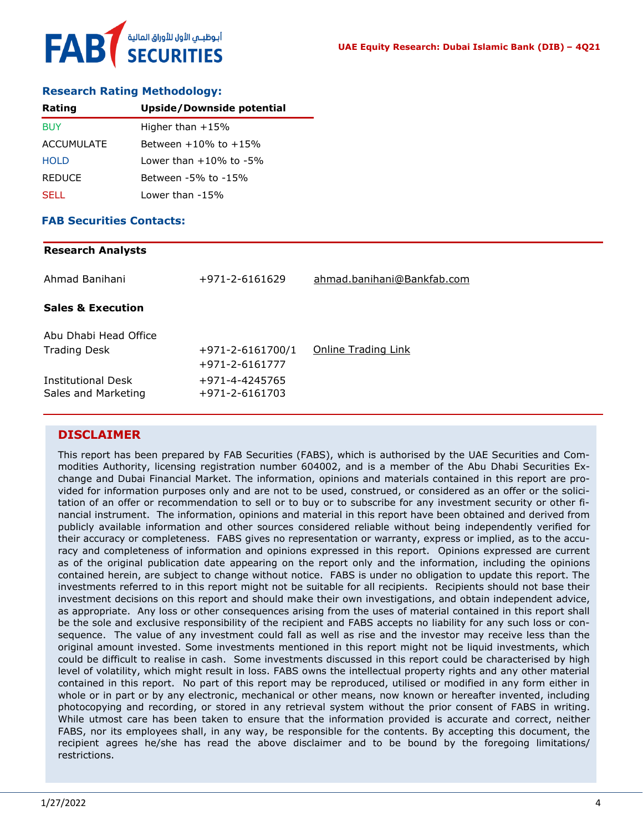# أبوظبـي الأول للأوراق المالية<br>SECURITIES FAB

#### **Research Rating Methodology:**

| Rating            | <b>Upside/Downside potential</b> |
|-------------------|----------------------------------|
| <b>BUY</b>        | Higher than $+15%$               |
| <b>ACCUMULATE</b> | Between $+10\%$ to $+15\%$       |
| <b>HOLD</b>       | $1$ ower than $+10\%$ to $-5\%$  |
| <b>REDUCE</b>     | Between -5% to -15%              |
| SELL.             | Lower than -15%                  |

#### **FAB Securities Contacts:**

# **Research Analysts** Ahmad Banihani +971-2-6161629 [ahmad.banihani@Bankfab.com](mailto:ahmad.banihani@Bankfab.com) **Sales & Execution** Abu Dhabi Head Office Trading Desk  $+971-2-6161700/1$  [Online Trading Link](http://www.nbad.com/countries/en-ae/Brokerage/WhatWeOffer/Pages/OnlineTrading.aspx) +971-2-6161777 Institutional Desk +971-4-4245765 Sales and Marketing +971-2-6161703

#### **DISCLAIMER**

This report has been prepared by FAB Securities (FABS), which is authorised by the UAE Securities and Commodities Authority, licensing registration number 604002, and is a member of the Abu Dhabi Securities Exchange and Dubai Financial Market. The information, opinions and materials contained in this report are provided for information purposes only and are not to be used, construed, or considered as an offer or the solicitation of an offer or recommendation to sell or to buy or to subscribe for any investment security or other financial instrument. The information, opinions and material in this report have been obtained and derived from publicly available information and other sources considered reliable without being independently verified for their accuracy or completeness. FABS gives no representation or warranty, express or implied, as to the accuracy and completeness of information and opinions expressed in this report. Opinions expressed are current as of the original publication date appearing on the report only and the information, including the opinions contained herein, are subject to change without notice. FABS is under no obligation to update this report. The investments referred to in this report might not be suitable for all recipients. Recipients should not base their investment decisions on this report and should make their own investigations, and obtain independent advice, as appropriate. Any loss or other consequences arising from the uses of material contained in this report shall be the sole and exclusive responsibility of the recipient and FABS accepts no liability for any such loss or consequence. The value of any investment could fall as well as rise and the investor may receive less than the original amount invested. Some investments mentioned in this report might not be liquid investments, which could be difficult to realise in cash. Some investments discussed in this report could be characterised by high level of volatility, which might result in loss. FABS owns the intellectual property rights and any other material contained in this report. No part of this report may be reproduced, utilised or modified in any form either in whole or in part or by any electronic, mechanical or other means, now known or hereafter invented, including photocopying and recording, or stored in any retrieval system without the prior consent of FABS in writing. While utmost care has been taken to ensure that the information provided is accurate and correct, neither FABS, nor its employees shall, in any way, be responsible for the contents. By accepting this document, the recipient agrees he/she has read the above disclaimer and to be bound by the foregoing limitations/ restrictions.